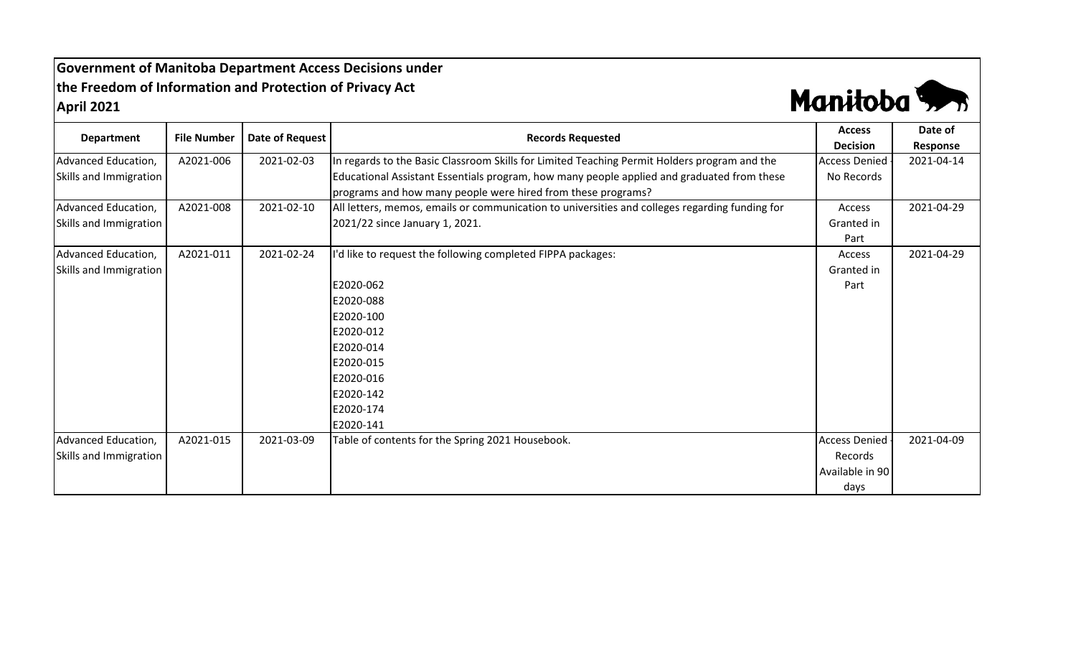**Government of Manitoba Department Access Decisions under the Freedom of Information and Protection of Privacy Act April 2021**



| <b>Department</b>      | <b>File Number</b> | Date of Request | <b>Records Requested</b>                                                                       | <b>Access</b><br><b>Decision</b> | Date of<br>Response |
|------------------------|--------------------|-----------------|------------------------------------------------------------------------------------------------|----------------------------------|---------------------|
| Advanced Education,    | A2021-006          | 2021-02-03      | In regards to the Basic Classroom Skills for Limited Teaching Permit Holders program and the   | <b>Access Denied</b>             | 2021-04-14          |
| Skills and Immigration |                    |                 | Educational Assistant Essentials program, how many people applied and graduated from these     | No Records                       |                     |
|                        |                    |                 | programs and how many people were hired from these programs?                                   |                                  |                     |
| Advanced Education,    | A2021-008          | 2021-02-10      | All letters, memos, emails or communication to universities and colleges regarding funding for | Access                           | 2021-04-29          |
| Skills and Immigration |                    |                 | 2021/22 since January 1, 2021.                                                                 | Granted in                       |                     |
|                        |                    |                 |                                                                                                | Part                             |                     |
| Advanced Education,    | A2021-011          | 2021-02-24      | I'd like to request the following completed FIPPA packages:                                    | Access                           | 2021-04-29          |
| Skills and Immigration |                    |                 |                                                                                                | Granted in                       |                     |
|                        |                    |                 | E2020-062                                                                                      | Part                             |                     |
|                        |                    |                 | E2020-088                                                                                      |                                  |                     |
|                        |                    |                 | E2020-100                                                                                      |                                  |                     |
|                        |                    |                 | E2020-012                                                                                      |                                  |                     |
|                        |                    |                 | E2020-014                                                                                      |                                  |                     |
|                        |                    |                 | E2020-015                                                                                      |                                  |                     |
|                        |                    |                 | E2020-016                                                                                      |                                  |                     |
|                        |                    |                 | E2020-142                                                                                      |                                  |                     |
|                        |                    |                 | E2020-174                                                                                      |                                  |                     |
|                        |                    |                 | E2020-141                                                                                      |                                  |                     |
| Advanced Education,    | A2021-015          | 2021-03-09      | Table of contents for the Spring 2021 Housebook.                                               | <b>Access Denied</b>             | 2021-04-09          |
| Skills and Immigration |                    |                 |                                                                                                | Records                          |                     |
|                        |                    |                 |                                                                                                | Available in 90                  |                     |
|                        |                    |                 |                                                                                                | days                             |                     |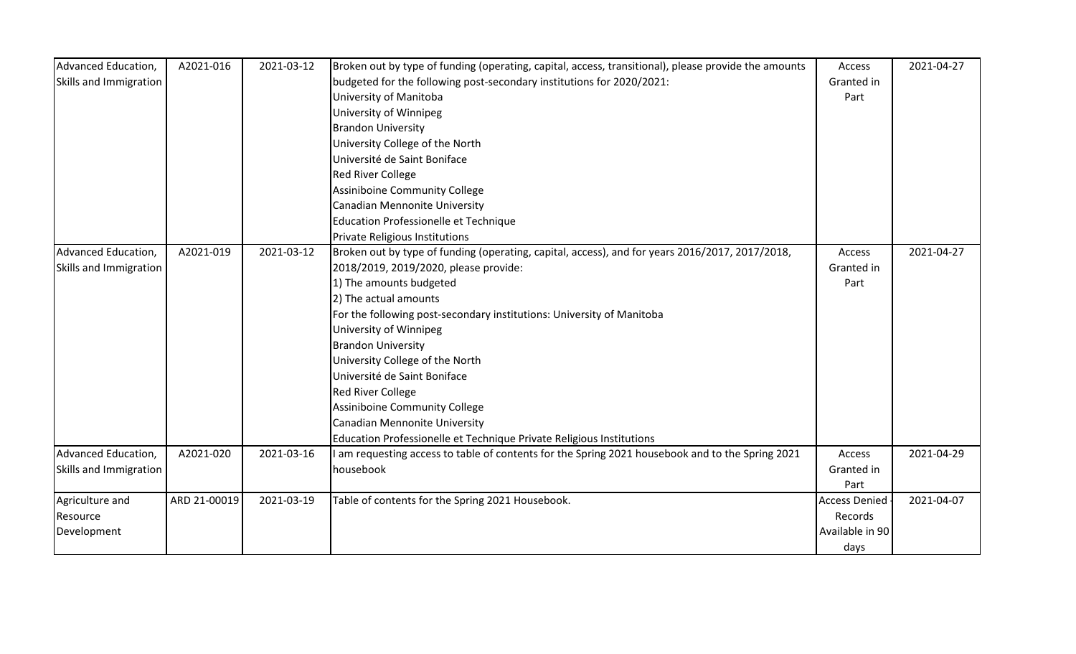| Advanced Education,    | A2021-016    | 2021-03-12 | Broken out by type of funding (operating, capital, access, transitional), please provide the amounts | Access               | 2021-04-27 |
|------------------------|--------------|------------|------------------------------------------------------------------------------------------------------|----------------------|------------|
| Skills and Immigration |              |            | budgeted for the following post-secondary institutions for 2020/2021:                                | Granted in           |            |
|                        |              |            | University of Manitoba                                                                               | Part                 |            |
|                        |              |            | University of Winnipeg                                                                               |                      |            |
|                        |              |            | <b>Brandon University</b>                                                                            |                      |            |
|                        |              |            | University College of the North                                                                      |                      |            |
|                        |              |            | Université de Saint Boniface                                                                         |                      |            |
|                        |              |            | <b>Red River College</b>                                                                             |                      |            |
|                        |              |            | <b>Assiniboine Community College</b>                                                                 |                      |            |
|                        |              |            | Canadian Mennonite University                                                                        |                      |            |
|                        |              |            | Education Professionelle et Technique                                                                |                      |            |
|                        |              |            | Private Religious Institutions                                                                       |                      |            |
| Advanced Education,    | A2021-019    | 2021-03-12 | Broken out by type of funding (operating, capital, access), and for years 2016/2017, 2017/2018,      | Access               | 2021-04-27 |
| Skills and Immigration |              |            | 2018/2019, 2019/2020, please provide:                                                                | Granted in           |            |
|                        |              |            | 1) The amounts budgeted                                                                              | Part                 |            |
|                        |              |            | 2) The actual amounts                                                                                |                      |            |
|                        |              |            | For the following post-secondary institutions: University of Manitoba                                |                      |            |
|                        |              |            | University of Winnipeg                                                                               |                      |            |
|                        |              |            | <b>Brandon University</b>                                                                            |                      |            |
|                        |              |            | University College of the North                                                                      |                      |            |
|                        |              |            | Université de Saint Boniface                                                                         |                      |            |
|                        |              |            | <b>Red River College</b>                                                                             |                      |            |
|                        |              |            | Assiniboine Community College                                                                        |                      |            |
|                        |              |            | Canadian Mennonite University                                                                        |                      |            |
|                        |              |            | Education Professionelle et Technique Private Religious Institutions                                 |                      |            |
| Advanced Education,    | A2021-020    | 2021-03-16 | am requesting access to table of contents for the Spring 2021 housebook and to the Spring 2021       | Access               | 2021-04-29 |
| Skills and Immigration |              |            | housebook                                                                                            | Granted in           |            |
|                        |              |            |                                                                                                      | Part                 |            |
| Agriculture and        | ARD 21-00019 | 2021-03-19 | Table of contents for the Spring 2021 Housebook.                                                     | <b>Access Denied</b> | 2021-04-07 |
| Resource               |              |            |                                                                                                      | Records              |            |
| Development            |              |            |                                                                                                      | Available in 90      |            |
|                        |              |            |                                                                                                      | days                 |            |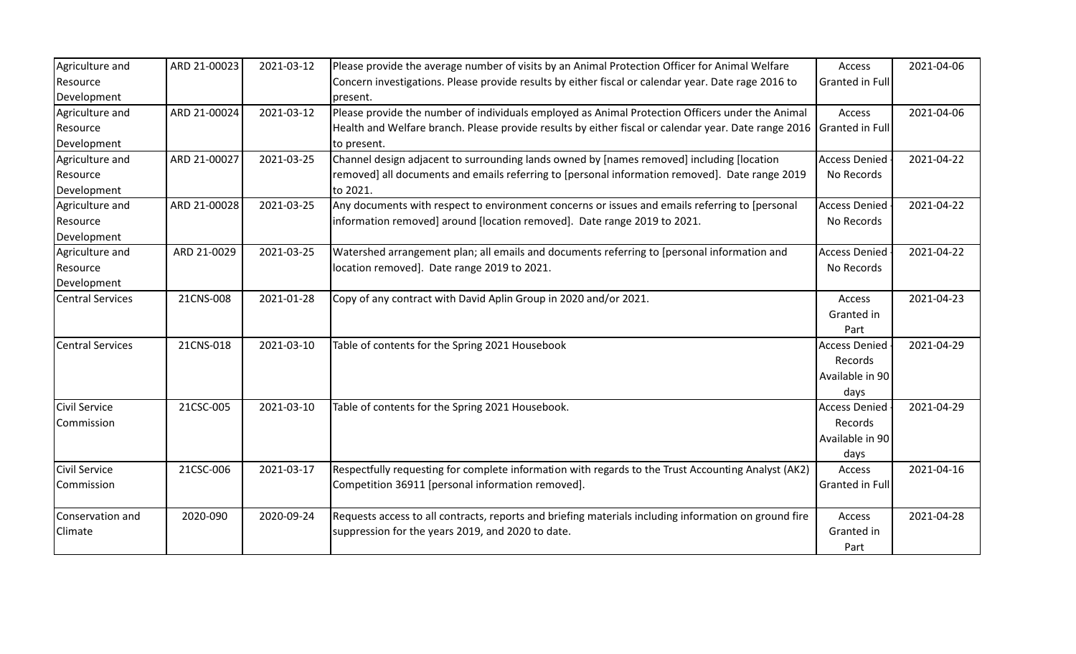| Agriculture and         | ARD 21-00023 | 2021-03-12 | Please provide the average number of visits by an Animal Protection Officer for Animal Welfare        | Access                 | 2021-04-06 |
|-------------------------|--------------|------------|-------------------------------------------------------------------------------------------------------|------------------------|------------|
| Resource                |              |            | Concern investigations. Please provide results by either fiscal or calendar year. Date rage 2016 to   | <b>Granted in Full</b> |            |
| Development             |              |            | present.                                                                                              |                        |            |
| Agriculture and         | ARD 21-00024 | 2021-03-12 | Please provide the number of individuals employed as Animal Protection Officers under the Animal      | Access                 | 2021-04-06 |
| Resource                |              |            | Health and Welfare branch. Please provide results by either fiscal or calendar year. Date range 2016  | Granted in Full        |            |
| Development             |              |            | to present.                                                                                           |                        |            |
| Agriculture and         | ARD 21-00027 | 2021-03-25 | Channel design adjacent to surrounding lands owned by [names removed] including [location             | <b>Access Denied</b>   | 2021-04-22 |
| Resource                |              |            | removed] all documents and emails referring to [personal information removed]. Date range 2019        | No Records             |            |
| Development             |              |            | to 2021.                                                                                              |                        |            |
| Agriculture and         | ARD 21-00028 | 2021-03-25 | Any documents with respect to environment concerns or issues and emails referring to [personal        | <b>Access Denied</b>   | 2021-04-22 |
| Resource                |              |            | information removed] around [location removed]. Date range 2019 to 2021.                              | No Records             |            |
| Development             |              |            |                                                                                                       |                        |            |
| Agriculture and         | ARD 21-0029  | 2021-03-25 | Watershed arrangement plan; all emails and documents referring to [personal information and           | <b>Access Denied</b>   | 2021-04-22 |
| Resource                |              |            | location removed]. Date range 2019 to 2021.                                                           | No Records             |            |
| Development             |              |            |                                                                                                       |                        |            |
| <b>Central Services</b> | 21CNS-008    | 2021-01-28 | Copy of any contract with David Aplin Group in 2020 and/or 2021.                                      | Access                 | 2021-04-23 |
|                         |              |            |                                                                                                       | Granted in             |            |
|                         |              |            |                                                                                                       | Part                   |            |
| <b>Central Services</b> | 21CNS-018    | 2021-03-10 | Table of contents for the Spring 2021 Housebook                                                       | <b>Access Denied</b>   | 2021-04-29 |
|                         |              |            |                                                                                                       | Records                |            |
|                         |              |            |                                                                                                       | Available in 90        |            |
|                         |              |            |                                                                                                       | days                   |            |
| <b>Civil Service</b>    | 21CSC-005    | 2021-03-10 | Table of contents for the Spring 2021 Housebook.                                                      | <b>Access Denied</b>   | 2021-04-29 |
| Commission              |              |            |                                                                                                       | Records                |            |
|                         |              |            |                                                                                                       | Available in 90        |            |
|                         |              |            |                                                                                                       | days                   |            |
| <b>Civil Service</b>    | 21CSC-006    | 2021-03-17 | Respectfully requesting for complete information with regards to the Trust Accounting Analyst (AK2)   | Access                 | 2021-04-16 |
| Commission              |              |            | Competition 36911 [personal information removed].                                                     | Granted in Full        |            |
|                         |              |            |                                                                                                       |                        |            |
| Conservation and        | 2020-090     | 2020-09-24 | Requests access to all contracts, reports and briefing materials including information on ground fire | Access                 | 2021-04-28 |
| Climate                 |              |            | suppression for the years 2019, and 2020 to date.                                                     | Granted in             |            |
|                         |              |            |                                                                                                       | Part                   |            |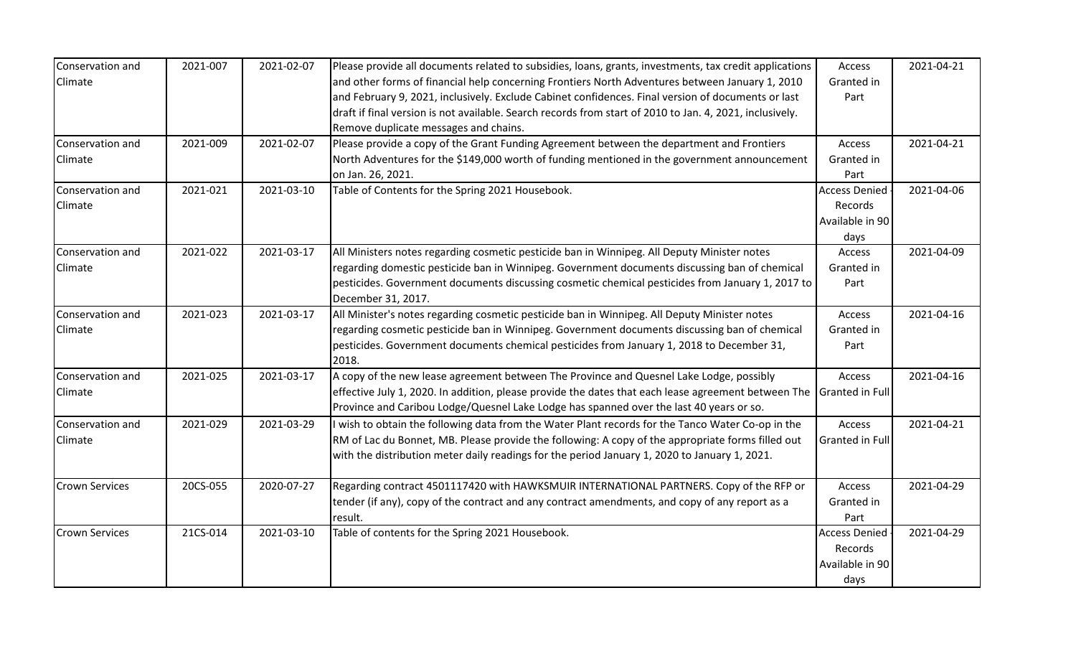| Conservation and      | 2021-007 | 2021-02-07 | Please provide all documents related to subsidies, loans, grants, investments, tax credit applications              | Access                 | 2021-04-21 |
|-----------------------|----------|------------|---------------------------------------------------------------------------------------------------------------------|------------------------|------------|
| Climate               |          |            | and other forms of financial help concerning Frontiers North Adventures between January 1, 2010                     | Granted in             |            |
|                       |          |            | and February 9, 2021, inclusively. Exclude Cabinet confidences. Final version of documents or last                  | Part                   |            |
|                       |          |            | draft if final version is not available. Search records from start of 2010 to Jan. 4, 2021, inclusively.            |                        |            |
|                       |          |            | Remove duplicate messages and chains.                                                                               |                        |            |
| Conservation and      | 2021-009 | 2021-02-07 | Please provide a copy of the Grant Funding Agreement between the department and Frontiers                           | Access                 | 2021-04-21 |
| <b>Climate</b>        |          |            | North Adventures for the \$149,000 worth of funding mentioned in the government announcement                        | Granted in             |            |
|                       |          |            | on Jan. 26, 2021.                                                                                                   | Part                   |            |
| Conservation and      | 2021-021 | 2021-03-10 | Table of Contents for the Spring 2021 Housebook.                                                                    | <b>Access Denied</b>   | 2021-04-06 |
| Climate               |          |            |                                                                                                                     | Records                |            |
|                       |          |            |                                                                                                                     | Available in 90        |            |
|                       |          |            |                                                                                                                     | days                   |            |
| Conservation and      | 2021-022 | 2021-03-17 | All Ministers notes regarding cosmetic pesticide ban in Winnipeg. All Deputy Minister notes                         | Access                 | 2021-04-09 |
| Climate               |          |            | regarding domestic pesticide ban in Winnipeg. Government documents discussing ban of chemical                       | Granted in             |            |
|                       |          |            | pesticides. Government documents discussing cosmetic chemical pesticides from January 1, 2017 to                    | Part                   |            |
|                       |          |            | December 31, 2017.                                                                                                  |                        |            |
| Conservation and      | 2021-023 | 2021-03-17 | All Minister's notes regarding cosmetic pesticide ban in Winnipeg. All Deputy Minister notes                        | Access                 | 2021-04-16 |
| Climate               |          |            | regarding cosmetic pesticide ban in Winnipeg. Government documents discussing ban of chemical                       | Granted in             |            |
|                       |          |            | pesticides. Government documents chemical pesticides from January 1, 2018 to December 31,                           | Part                   |            |
|                       |          |            | 2018.                                                                                                               |                        |            |
| Conservation and      | 2021-025 | 2021-03-17 | A copy of the new lease agreement between The Province and Quesnel Lake Lodge, possibly                             | Access                 | 2021-04-16 |
| Climate               |          |            | effective July 1, 2020. In addition, please provide the dates that each lease agreement between The Granted in Full |                        |            |
|                       |          |            | Province and Caribou Lodge/Quesnel Lake Lodge has spanned over the last 40 years or so.                             |                        |            |
| Conservation and      | 2021-029 | 2021-03-29 | I wish to obtain the following data from the Water Plant records for the Tanco Water Co-op in the                   | Access                 | 2021-04-21 |
| Climate               |          |            | RM of Lac du Bonnet, MB. Please provide the following: A copy of the appropriate forms filled out                   | <b>Granted in Full</b> |            |
|                       |          |            | with the distribution meter daily readings for the period January 1, 2020 to January 1, 2021.                       |                        |            |
|                       |          |            |                                                                                                                     |                        |            |
| <b>Crown Services</b> | 20CS-055 | 2020-07-27 | Regarding contract 4501117420 with HAWKSMUIR INTERNATIONAL PARTNERS. Copy of the RFP or                             | Access                 | 2021-04-29 |
|                       |          |            | tender (if any), copy of the contract and any contract amendments, and copy of any report as a                      | Granted in             |            |
|                       |          |            | result.                                                                                                             | Part                   |            |
| <b>Crown Services</b> | 21CS-014 | 2021-03-10 | Table of contents for the Spring 2021 Housebook.                                                                    | <b>Access Denied</b>   | 2021-04-29 |
|                       |          |            |                                                                                                                     | Records                |            |
|                       |          |            |                                                                                                                     | Available in 90        |            |
|                       |          |            |                                                                                                                     | days                   |            |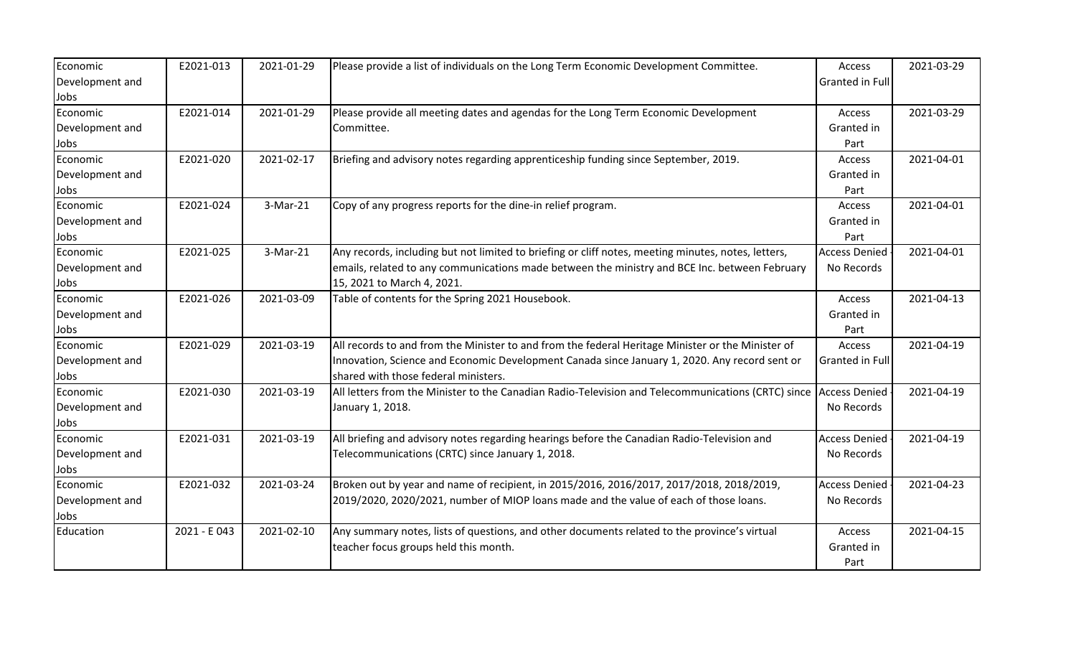| Economic        | E2021-013    | 2021-01-29 | Please provide a list of individuals on the Long Term Economic Development Committee.               | Access               | 2021-03-29 |
|-----------------|--------------|------------|-----------------------------------------------------------------------------------------------------|----------------------|------------|
| Development and |              |            |                                                                                                     | Granted in Full      |            |
| Jobs            |              |            |                                                                                                     |                      |            |
| Economic        | E2021-014    | 2021-01-29 | Please provide all meeting dates and agendas for the Long Term Economic Development                 | Access               | 2021-03-29 |
| Development and |              |            | Committee.                                                                                          | Granted in           |            |
| Jobs            |              |            |                                                                                                     | Part                 |            |
| Economic        | E2021-020    | 2021-02-17 | Briefing and advisory notes regarding apprenticeship funding since September, 2019.                 | Access               | 2021-04-01 |
| Development and |              |            |                                                                                                     | Granted in           |            |
| Jobs            |              |            |                                                                                                     | Part                 |            |
| Economic        | E2021-024    | 3-Mar-21   | Copy of any progress reports for the dine-in relief program.                                        | Access               | 2021-04-01 |
| Development and |              |            |                                                                                                     | Granted in           |            |
| Jobs            |              |            |                                                                                                     | Part                 |            |
| Economic        | E2021-025    | 3-Mar-21   | Any records, including but not limited to briefing or cliff notes, meeting minutes, notes, letters, | <b>Access Denied</b> | 2021-04-01 |
| Development and |              |            | emails, related to any communications made between the ministry and BCE Inc. between February       | No Records           |            |
| Jobs            |              |            | 15, 2021 to March 4, 2021.                                                                          |                      |            |
| Economic        | E2021-026    | 2021-03-09 | Table of contents for the Spring 2021 Housebook.                                                    | Access               | 2021-04-13 |
| Development and |              |            |                                                                                                     | Granted in           |            |
| Jobs            |              |            |                                                                                                     | Part                 |            |
| Economic        | E2021-029    | 2021-03-19 | All records to and from the Minister to and from the federal Heritage Minister or the Minister of   | Access               | 2021-04-19 |
| Development and |              |            | Innovation, Science and Economic Development Canada since January 1, 2020. Any record sent or       | Granted in Full      |            |
| Jobs            |              |            | shared with those federal ministers.                                                                |                      |            |
| Economic        | E2021-030    | 2021-03-19 | All letters from the Minister to the Canadian Radio-Television and Telecommunications (CRTC) since  | <b>Access Denied</b> | 2021-04-19 |
| Development and |              |            | January 1, 2018.                                                                                    | No Records           |            |
| Jobs            |              |            |                                                                                                     |                      |            |
| Economic        | E2021-031    | 2021-03-19 | All briefing and advisory notes regarding hearings before the Canadian Radio-Television and         | <b>Access Denied</b> | 2021-04-19 |
| Development and |              |            | Telecommunications (CRTC) since January 1, 2018.                                                    | No Records           |            |
| Jobs            |              |            |                                                                                                     |                      |            |
| Economic        | E2021-032    | 2021-03-24 | Broken out by year and name of recipient, in 2015/2016, 2016/2017, 2017/2018, 2018/2019,            | <b>Access Denied</b> | 2021-04-23 |
| Development and |              |            | 2019/2020, 2020/2021, number of MIOP loans made and the value of each of those loans.               | No Records           |            |
| Jobs            |              |            |                                                                                                     |                      |            |
| Education       | 2021 - E 043 | 2021-02-10 | Any summary notes, lists of questions, and other documents related to the province's virtual        | Access               | 2021-04-15 |
|                 |              |            | teacher focus groups held this month.                                                               | Granted in           |            |
|                 |              |            |                                                                                                     | Part                 |            |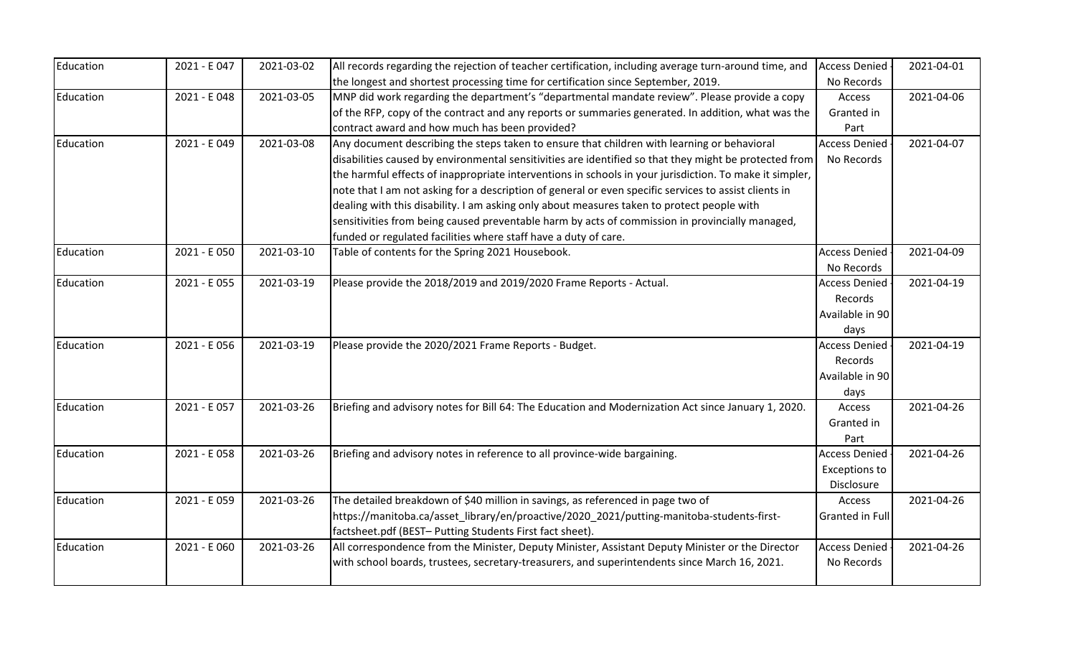| Education | 2021 - E 047 | 2021-03-02 | All records regarding the rejection of teacher certification, including average turn-around time, and   | <b>Access Denied</b> | 2021-04-01 |
|-----------|--------------|------------|---------------------------------------------------------------------------------------------------------|----------------------|------------|
|           |              |            | the longest and shortest processing time for certification since September, 2019.                       | No Records           |            |
| Education | 2021 - E 048 | 2021-03-05 | MNP did work regarding the department's "departmental mandate review". Please provide a copy            | Access               | 2021-04-06 |
|           |              |            | of the RFP, copy of the contract and any reports or summaries generated. In addition, what was the      | Granted in           |            |
|           |              |            | contract award and how much has been provided?                                                          | Part                 |            |
| Education | 2021 - E 049 | 2021-03-08 | Any document describing the steps taken to ensure that children with learning or behavioral             | <b>Access Denied</b> | 2021-04-07 |
|           |              |            | disabilities caused by environmental sensitivities are identified so that they might be protected from  | No Records           |            |
|           |              |            | the harmful effects of inappropriate interventions in schools in your jurisdiction. To make it simpler, |                      |            |
|           |              |            | note that I am not asking for a description of general or even specific services to assist clients in   |                      |            |
|           |              |            | dealing with this disability. I am asking only about measures taken to protect people with              |                      |            |
|           |              |            | sensitivities from being caused preventable harm by acts of commission in provincially managed,         |                      |            |
|           |              |            | funded or regulated facilities where staff have a duty of care.                                         |                      |            |
| Education | 2021 - E 050 | 2021-03-10 | Table of contents for the Spring 2021 Housebook.                                                        | <b>Access Denied</b> | 2021-04-09 |
|           |              |            |                                                                                                         | No Records           |            |
| Education | 2021 - E 055 | 2021-03-19 | Please provide the 2018/2019 and 2019/2020 Frame Reports - Actual.                                      | <b>Access Denied</b> | 2021-04-19 |
|           |              |            |                                                                                                         | Records              |            |
|           |              |            |                                                                                                         | Available in 90      |            |
|           |              |            |                                                                                                         | days                 |            |
| Education | 2021 - E 056 | 2021-03-19 | Please provide the 2020/2021 Frame Reports - Budget.                                                    | <b>Access Denied</b> | 2021-04-19 |
|           |              |            |                                                                                                         | Records              |            |
|           |              |            |                                                                                                         | Available in 90      |            |
|           |              |            |                                                                                                         | days                 |            |
| Education | 2021 - E057  | 2021-03-26 | Briefing and advisory notes for Bill 64: The Education and Modernization Act since January 1, 2020.     | Access               | 2021-04-26 |
|           |              |            |                                                                                                         | Granted in           |            |
|           |              |            |                                                                                                         | Part                 |            |
| Education | 2021 - E 058 | 2021-03-26 | Briefing and advisory notes in reference to all province-wide bargaining.                               | <b>Access Denied</b> | 2021-04-26 |
|           |              |            |                                                                                                         | <b>Exceptions to</b> |            |
|           |              |            |                                                                                                         | Disclosure           |            |
| Education | 2021 - E 059 | 2021-03-26 | The detailed breakdown of \$40 million in savings, as referenced in page two of                         | Access               | 2021-04-26 |
|           |              |            | https://manitoba.ca/asset_library/en/proactive/2020_2021/putting-manitoba-students-first-               | Granted in Full      |            |
|           |              |            | factsheet.pdf (BEST-Putting Students First fact sheet).                                                 |                      |            |
| Education | 2021 - E 060 | 2021-03-26 | All correspondence from the Minister, Deputy Minister, Assistant Deputy Minister or the Director        | <b>Access Denied</b> | 2021-04-26 |
|           |              |            | with school boards, trustees, secretary-treasurers, and superintendents since March 16, 2021.           | No Records           |            |
|           |              |            |                                                                                                         |                      |            |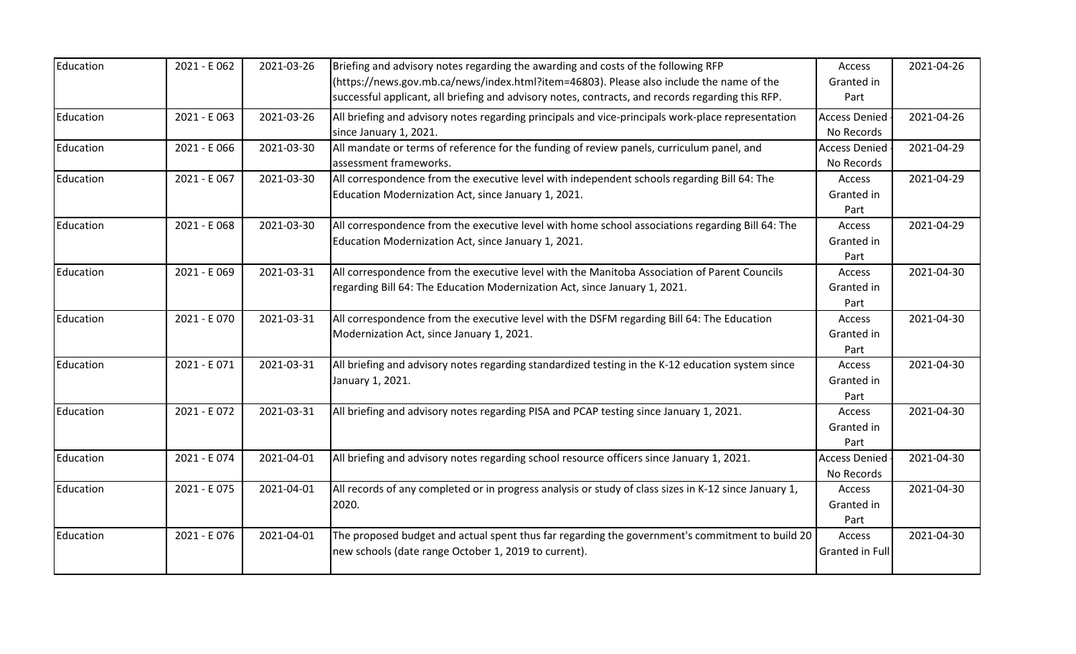| Education | 2021 - E 062 | 2021-03-26 | Briefing and advisory notes regarding the awarding and costs of the following RFP<br>(https://news.gov.mb.ca/news/index.html?item=46803). Please also include the name of the<br>successful applicant, all briefing and advisory notes, contracts, and records regarding this RFP. | Access<br>Granted in<br>Part       | 2021-04-26 |
|-----------|--------------|------------|------------------------------------------------------------------------------------------------------------------------------------------------------------------------------------------------------------------------------------------------------------------------------------|------------------------------------|------------|
| Education | 2021 - E 063 | 2021-03-26 | All briefing and advisory notes regarding principals and vice-principals work-place representation<br>since January 1, 2021.                                                                                                                                                       | <b>Access Denied</b><br>No Records | 2021-04-26 |
| Education | 2021 - E 066 | 2021-03-30 | All mandate or terms of reference for the funding of review panels, curriculum panel, and<br>assessment frameworks.                                                                                                                                                                | <b>Access Denied</b><br>No Records | 2021-04-29 |
| Education | 2021 - E 067 | 2021-03-30 | All correspondence from the executive level with independent schools regarding Bill 64: The<br>Education Modernization Act, since January 1, 2021.                                                                                                                                 | Access<br>Granted in<br>Part       | 2021-04-29 |
| Education | 2021 - E 068 | 2021-03-30 | All correspondence from the executive level with home school associations regarding Bill 64: The<br>Education Modernization Act, since January 1, 2021.                                                                                                                            | Access<br>Granted in<br>Part       | 2021-04-29 |
| Education | 2021 - E 069 | 2021-03-31 | All correspondence from the executive level with the Manitoba Association of Parent Councils<br>regarding Bill 64: The Education Modernization Act, since January 1, 2021.                                                                                                         | Access<br>Granted in<br>Part       | 2021-04-30 |
| Education | 2021 - E 070 | 2021-03-31 | All correspondence from the executive level with the DSFM regarding Bill 64: The Education<br>Modernization Act, since January 1, 2021.                                                                                                                                            | Access<br>Granted in<br>Part       | 2021-04-30 |
| Education | 2021 - E071  | 2021-03-31 | All briefing and advisory notes regarding standardized testing in the K-12 education system since<br>January 1, 2021.                                                                                                                                                              | Access<br>Granted in<br>Part       | 2021-04-30 |
| Education | 2021 - E072  | 2021-03-31 | All briefing and advisory notes regarding PISA and PCAP testing since January 1, 2021.                                                                                                                                                                                             | Access<br>Granted in<br>Part       | 2021-04-30 |
| Education | 2021 - E074  | 2021-04-01 | All briefing and advisory notes regarding school resource officers since January 1, 2021.                                                                                                                                                                                          | <b>Access Denied</b><br>No Records | 2021-04-30 |
| Education | 2021 - E075  | 2021-04-01 | All records of any completed or in progress analysis or study of class sizes in K-12 since January 1,<br>2020.                                                                                                                                                                     | Access<br>Granted in<br>Part       | 2021-04-30 |
| Education | 2021 - E076  | 2021-04-01 | The proposed budget and actual spent thus far regarding the government's commitment to build 20<br>new schools (date range October 1, 2019 to current).                                                                                                                            | Access<br>Granted in Full          | 2021-04-30 |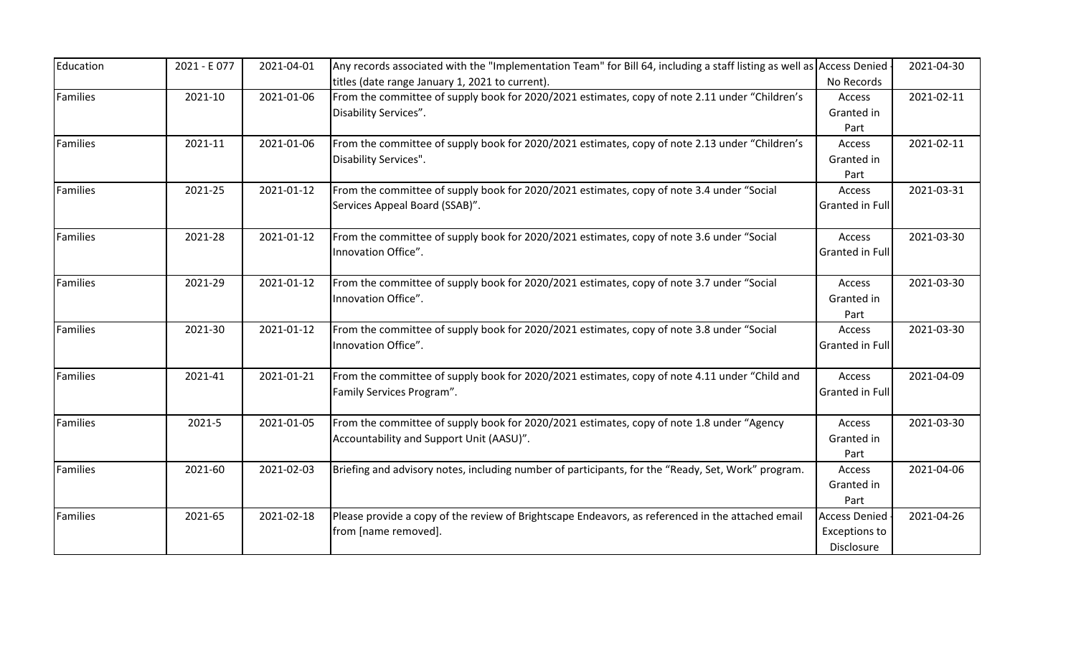| Education       | 2021 - E077 | 2021-04-01 | Any records associated with the "Implementation Team" for Bill 64, including a staff listing as well as Access Denied |                        | 2021-04-30 |
|-----------------|-------------|------------|-----------------------------------------------------------------------------------------------------------------------|------------------------|------------|
|                 |             |            | titles (date range January 1, 2021 to current).                                                                       | No Records             |            |
| <b>Families</b> | 2021-10     | 2021-01-06 | From the committee of supply book for 2020/2021 estimates, copy of note 2.11 under "Children's                        | Access                 | 2021-02-11 |
|                 |             |            | Disability Services".                                                                                                 | Granted in             |            |
|                 |             |            |                                                                                                                       | Part                   |            |
| <b>Families</b> | 2021-11     | 2021-01-06 | From the committee of supply book for 2020/2021 estimates, copy of note 2.13 under "Children's                        | Access                 | 2021-02-11 |
|                 |             |            | Disability Services".                                                                                                 | Granted in             |            |
|                 |             |            |                                                                                                                       | Part                   |            |
| <b>Families</b> | 2021-25     | 2021-01-12 | From the committee of supply book for 2020/2021 estimates, copy of note 3.4 under "Social                             | Access                 | 2021-03-31 |
|                 |             |            | Services Appeal Board (SSAB)".                                                                                        | Granted in Full        |            |
| Families        | 2021-28     | 2021-01-12 | From the committee of supply book for 2020/2021 estimates, copy of note 3.6 under "Social                             | Access                 | 2021-03-30 |
|                 |             |            | Innovation Office".                                                                                                   | Granted in Full        |            |
| <b>Families</b> | 2021-29     | 2021-01-12 | From the committee of supply book for 2020/2021 estimates, copy of note 3.7 under "Social                             | Access                 | 2021-03-30 |
|                 |             |            | Innovation Office".                                                                                                   | Granted in             |            |
|                 |             |            |                                                                                                                       | Part                   |            |
| <b>Families</b> | 2021-30     | 2021-01-12 | From the committee of supply book for 2020/2021 estimates, copy of note 3.8 under "Social                             | Access                 | 2021-03-30 |
|                 |             |            | Innovation Office".                                                                                                   | <b>Granted in Full</b> |            |
| <b>Families</b> | 2021-41     | 2021-01-21 | From the committee of supply book for 2020/2021 estimates, copy of note 4.11 under "Child and                         | Access                 | 2021-04-09 |
|                 |             |            | Family Services Program".                                                                                             | <b>Granted in Full</b> |            |
| Families        | 2021-5      | 2021-01-05 | From the committee of supply book for 2020/2021 estimates, copy of note 1.8 under "Agency                             | Access                 | 2021-03-30 |
|                 |             |            | Accountability and Support Unit (AASU)".                                                                              | Granted in             |            |
|                 |             |            |                                                                                                                       | Part                   |            |
| Families        | 2021-60     | 2021-02-03 | Briefing and advisory notes, including number of participants, for the "Ready, Set, Work" program.                    | Access                 | 2021-04-06 |
|                 |             |            |                                                                                                                       | Granted in             |            |
|                 |             |            |                                                                                                                       | Part                   |            |
| Families        | 2021-65     | 2021-02-18 | Please provide a copy of the review of Brightscape Endeavors, as referenced in the attached email                     | <b>Access Denied</b>   | 2021-04-26 |
|                 |             |            | from [name removed].                                                                                                  | <b>Exceptions to</b>   |            |
|                 |             |            |                                                                                                                       | Disclosure             |            |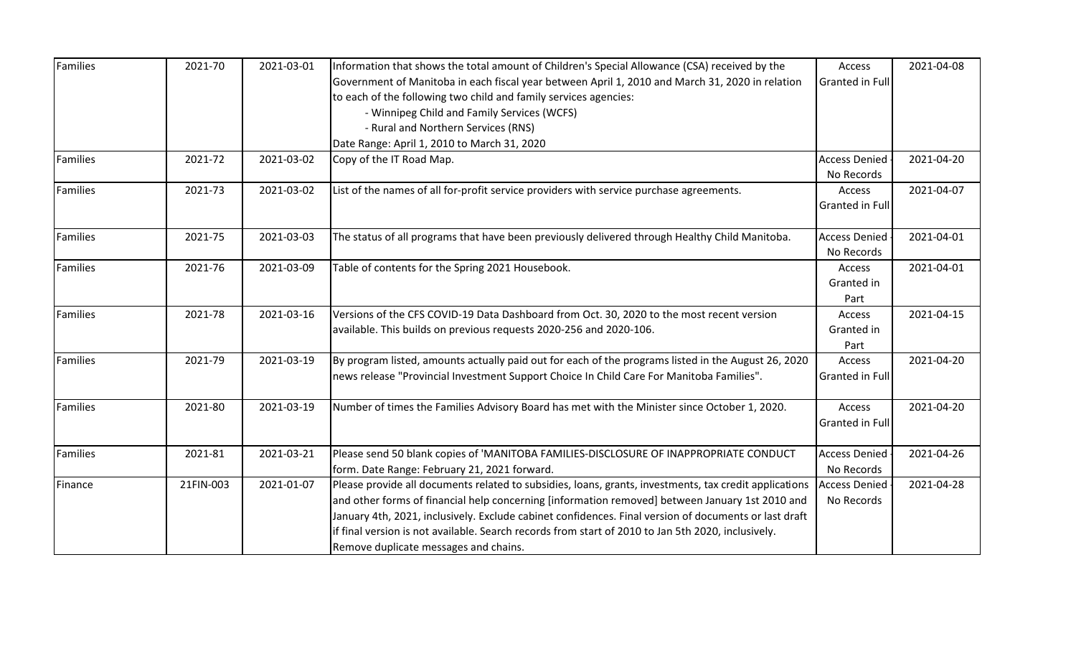| Families | 2021-70   | 2021-03-01 | Information that shows the total amount of Children's Special Allowance (CSA) received by the          | Access                 | 2021-04-08 |
|----------|-----------|------------|--------------------------------------------------------------------------------------------------------|------------------------|------------|
|          |           |            | Government of Manitoba in each fiscal year between April 1, 2010 and March 31, 2020 in relation        | <b>Granted in Full</b> |            |
|          |           |            | to each of the following two child and family services agencies:                                       |                        |            |
|          |           |            | - Winnipeg Child and Family Services (WCFS)                                                            |                        |            |
|          |           |            | - Rural and Northern Services (RNS)                                                                    |                        |            |
|          |           |            | Date Range: April 1, 2010 to March 31, 2020                                                            |                        |            |
| Families | 2021-72   | 2021-03-02 | Copy of the IT Road Map.                                                                               | <b>Access Denied</b>   | 2021-04-20 |
|          |           |            |                                                                                                        | No Records             |            |
| Families | 2021-73   | 2021-03-02 | List of the names of all for-profit service providers with service purchase agreements.                | Access                 | 2021-04-07 |
|          |           |            |                                                                                                        | Granted in Full        |            |
|          |           |            |                                                                                                        |                        |            |
| Families | 2021-75   | 2021-03-03 | The status of all programs that have been previously delivered through Healthy Child Manitoba.         | <b>Access Denied</b>   | 2021-04-01 |
|          |           |            |                                                                                                        | No Records             |            |
| Families | 2021-76   | 2021-03-09 | Table of contents for the Spring 2021 Housebook.                                                       | Access                 | 2021-04-01 |
|          |           |            |                                                                                                        | Granted in             |            |
|          |           |            |                                                                                                        | Part                   |            |
| Families | 2021-78   | 2021-03-16 | Versions of the CFS COVID-19 Data Dashboard from Oct. 30, 2020 to the most recent version              | Access                 | 2021-04-15 |
|          |           |            | available. This builds on previous requests 2020-256 and 2020-106.                                     | Granted in             |            |
|          |           |            |                                                                                                        | Part                   |            |
| Families | 2021-79   | 2021-03-19 | By program listed, amounts actually paid out for each of the programs listed in the August 26, 2020    | Access                 | 2021-04-20 |
|          |           |            | news release "Provincial Investment Support Choice In Child Care For Manitoba Families".               | <b>Granted in Full</b> |            |
|          |           |            |                                                                                                        |                        |            |
| Families | 2021-80   | 2021-03-19 | Number of times the Families Advisory Board has met with the Minister since October 1, 2020.           | Access                 | 2021-04-20 |
|          |           |            |                                                                                                        | <b>Granted in Full</b> |            |
|          |           |            |                                                                                                        |                        |            |
| Families | 2021-81   | 2021-03-21 | Please send 50 blank copies of 'MANITOBA FAMILIES-DISCLOSURE OF INAPPROPRIATE CONDUCT                  | <b>Access Denied</b>   | 2021-04-26 |
|          |           |            | form. Date Range: February 21, 2021 forward.                                                           | No Records             |            |
| Finance  | 21FIN-003 | 2021-01-07 | Please provide all documents related to subsidies, loans, grants, investments, tax credit applications | <b>Access Denied</b>   | 2021-04-28 |
|          |           |            | and other forms of financial help concerning [information removed] between January 1st 2010 and        | No Records             |            |
|          |           |            | January 4th, 2021, inclusively. Exclude cabinet confidences. Final version of documents or last draft  |                        |            |
|          |           |            | if final version is not available. Search records from start of 2010 to Jan 5th 2020, inclusively.     |                        |            |
|          |           |            | Remove duplicate messages and chains.                                                                  |                        |            |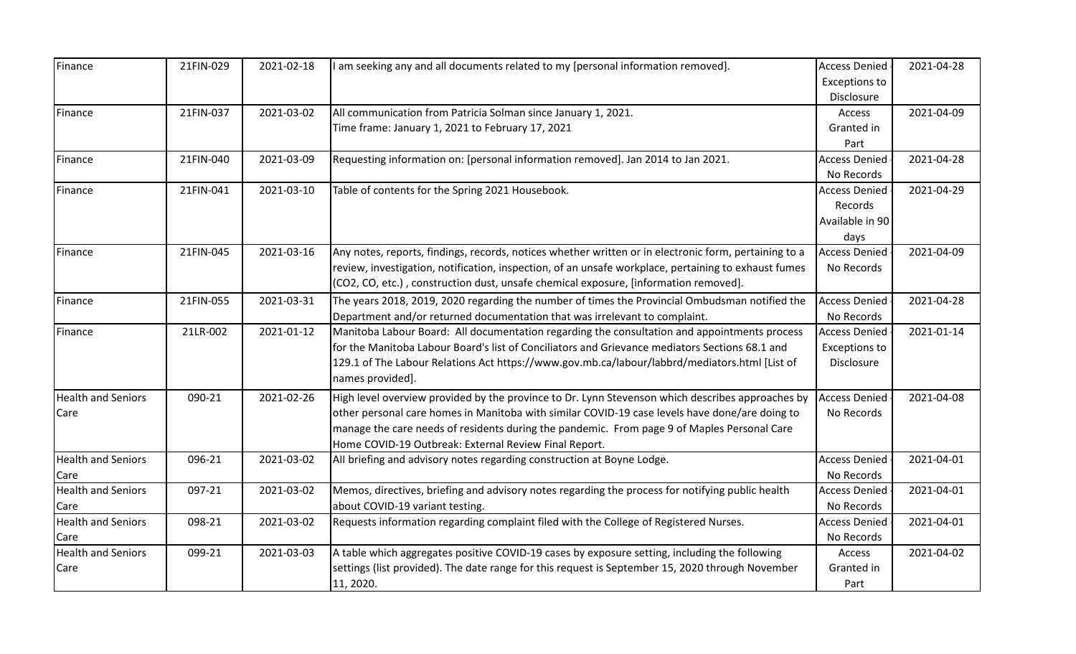| Finance                   | 21FIN-029 | 2021-02-18 | I am seeking any and all documents related to my [personal information removed].                      | <b>Access Denied</b> | 2021-04-28 |
|---------------------------|-----------|------------|-------------------------------------------------------------------------------------------------------|----------------------|------------|
|                           |           |            |                                                                                                       | <b>Exceptions to</b> |            |
|                           |           |            |                                                                                                       | Disclosure           |            |
| Finance                   | 21FIN-037 | 2021-03-02 | All communication from Patricia Solman since January 1, 2021.                                         | <b>Access</b>        | 2021-04-09 |
|                           |           |            | Time frame: January 1, 2021 to February 17, 2021                                                      | Granted in           |            |
|                           |           |            |                                                                                                       | Part                 |            |
| Finance                   | 21FIN-040 | 2021-03-09 | Requesting information on: [personal information removed]. Jan 2014 to Jan 2021.                      | <b>Access Denied</b> | 2021-04-28 |
|                           |           |            |                                                                                                       | No Records           |            |
| Finance                   | 21FIN-041 | 2021-03-10 | Table of contents for the Spring 2021 Housebook.                                                      | <b>Access Denied</b> | 2021-04-29 |
|                           |           |            |                                                                                                       | Records              |            |
|                           |           |            |                                                                                                       | Available in 90      |            |
|                           |           |            |                                                                                                       | days                 |            |
| Finance                   | 21FIN-045 | 2021-03-16 | Any notes, reports, findings, records, notices whether written or in electronic form, pertaining to a | <b>Access Denied</b> | 2021-04-09 |
|                           |           |            | review, investigation, notification, inspection, of an unsafe workplace, pertaining to exhaust fumes  | No Records           |            |
|                           |           |            | (CO2, CO, etc.), construction dust, unsafe chemical exposure, [information removed].                  |                      |            |
| Finance                   | 21FIN-055 | 2021-03-31 | The years 2018, 2019, 2020 regarding the number of times the Provincial Ombudsman notified the        | <b>Access Denied</b> | 2021-04-28 |
|                           |           |            | Department and/or returned documentation that was irrelevant to complaint.                            | No Records           |            |
| Finance                   | 21LR-002  | 2021-01-12 | Manitoba Labour Board: All documentation regarding the consultation and appointments process          | <b>Access Denied</b> | 2021-01-14 |
|                           |           |            | for the Manitoba Labour Board's list of Conciliators and Grievance mediators Sections 68.1 and        | <b>Exceptions to</b> |            |
|                           |           |            | 129.1 of The Labour Relations Act https://www.gov.mb.ca/labour/labbrd/mediators.html [List of         | Disclosure           |            |
|                           |           |            | names provided].                                                                                      |                      |            |
| <b>Health and Seniors</b> | 090-21    | 2021-02-26 | High level overview provided by the province to Dr. Lynn Stevenson which describes approaches by      | <b>Access Denied</b> | 2021-04-08 |
| Care                      |           |            | other personal care homes in Manitoba with similar COVID-19 case levels have done/are doing to        | No Records           |            |
|                           |           |            | manage the care needs of residents during the pandemic. From page 9 of Maples Personal Care           |                      |            |
|                           |           |            | Home COVID-19 Outbreak: External Review Final Report.                                                 |                      |            |
| <b>Health and Seniors</b> | 096-21    | 2021-03-02 | All briefing and advisory notes regarding construction at Boyne Lodge.                                | <b>Access Denied</b> | 2021-04-01 |
| Care                      |           |            |                                                                                                       | No Records           |            |
| <b>Health and Seniors</b> | 097-21    | 2021-03-02 | Memos, directives, briefing and advisory notes regarding the process for notifying public health      | <b>Access Denied</b> | 2021-04-01 |
| Care                      |           |            | about COVID-19 variant testing.                                                                       | No Records           |            |
| <b>Health and Seniors</b> | 098-21    | 2021-03-02 | Requests information regarding complaint filed with the College of Registered Nurses.                 | <b>Access Denied</b> | 2021-04-01 |
| Care                      |           |            |                                                                                                       | No Records           |            |
| <b>Health and Seniors</b> | 099-21    | 2021-03-03 | A table which aggregates positive COVID-19 cases by exposure setting, including the following         | Access               | 2021-04-02 |
| Care                      |           |            | settings (list provided). The date range for this request is September 15, 2020 through November      | Granted in           |            |
|                           |           |            | 11, 2020.                                                                                             | Part                 |            |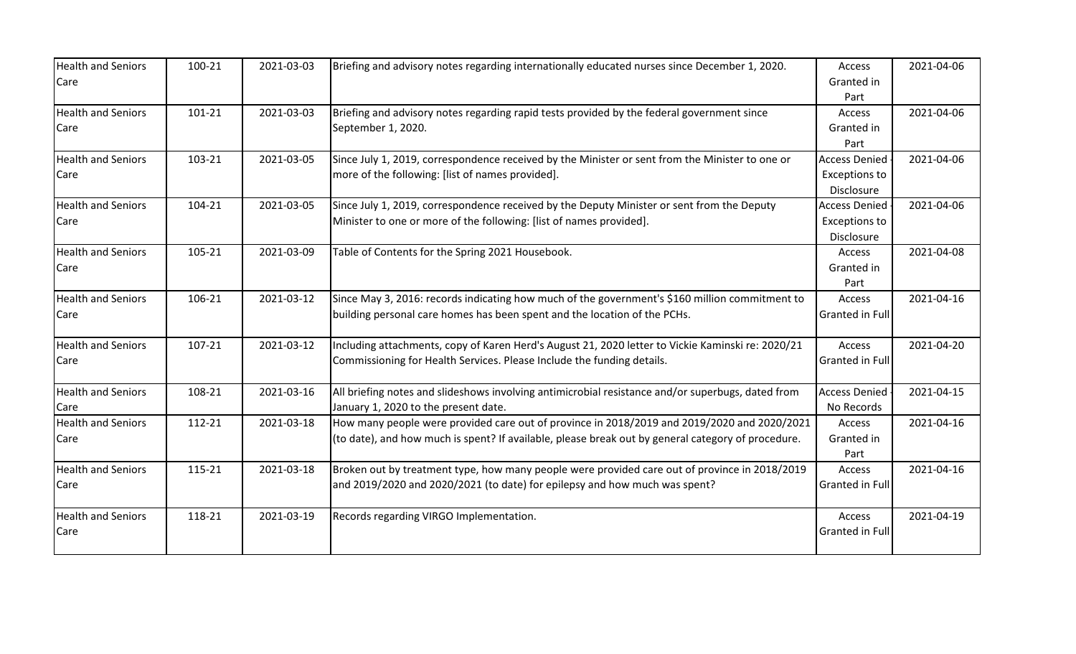| <b>Health and Seniors</b> | 100-21 | 2021-03-03 | Briefing and advisory notes regarding internationally educated nurses since December 1, 2020.      | Access                 | 2021-04-06 |
|---------------------------|--------|------------|----------------------------------------------------------------------------------------------------|------------------------|------------|
| Care                      |        |            |                                                                                                    | Granted in             |            |
|                           |        |            |                                                                                                    | Part                   |            |
| <b>Health and Seniors</b> | 101-21 | 2021-03-03 | Briefing and advisory notes regarding rapid tests provided by the federal government since         | Access                 | 2021-04-06 |
| Care                      |        |            | September 1, 2020.                                                                                 | Granted in             |            |
|                           |        |            |                                                                                                    | Part                   |            |
| <b>Health and Seniors</b> | 103-21 | 2021-03-05 | Since July 1, 2019, correspondence received by the Minister or sent from the Minister to one or    | <b>Access Denied</b>   | 2021-04-06 |
| Care                      |        |            | more of the following: [list of names provided].                                                   | <b>Exceptions to</b>   |            |
|                           |        |            |                                                                                                    | Disclosure             |            |
| <b>Health and Seniors</b> | 104-21 | 2021-03-05 | Since July 1, 2019, correspondence received by the Deputy Minister or sent from the Deputy         | <b>Access Denied</b>   | 2021-04-06 |
| Care                      |        |            | Minister to one or more of the following: [list of names provided].                                | <b>Exceptions to</b>   |            |
|                           |        |            |                                                                                                    | Disclosure             |            |
| <b>Health and Seniors</b> | 105-21 | 2021-03-09 | Table of Contents for the Spring 2021 Housebook.                                                   | Access                 | 2021-04-08 |
| Care                      |        |            |                                                                                                    | Granted in             |            |
|                           |        |            |                                                                                                    | Part                   |            |
| <b>Health and Seniors</b> | 106-21 | 2021-03-12 | Since May 3, 2016: records indicating how much of the government's \$160 million commitment to     | Access                 | 2021-04-16 |
| Care                      |        |            | building personal care homes has been spent and the location of the PCHs.                          | <b>Granted in Full</b> |            |
| <b>Health and Seniors</b> | 107-21 | 2021-03-12 | Including attachments, copy of Karen Herd's August 21, 2020 letter to Vickie Kaminski re: 2020/21  | Access                 | 2021-04-20 |
| Care                      |        |            | Commissioning for Health Services. Please Include the funding details.                             | <b>Granted in Full</b> |            |
| <b>Health and Seniors</b> | 108-21 | 2021-03-16 | All briefing notes and slideshows involving antimicrobial resistance and/or superbugs, dated from  | <b>Access Denied</b>   | 2021-04-15 |
| Care                      |        |            | January 1, 2020 to the present date.                                                               | No Records             |            |
| <b>Health and Seniors</b> | 112-21 | 2021-03-18 | How many people were provided care out of province in 2018/2019 and 2019/2020 and 2020/2021        | Access                 | 2021-04-16 |
| Care                      |        |            | (to date), and how much is spent? If available, please break out by general category of procedure. | Granted in             |            |
|                           |        |            |                                                                                                    | Part                   |            |
| <b>Health and Seniors</b> | 115-21 | 2021-03-18 | Broken out by treatment type, how many people were provided care out of province in 2018/2019      | Access                 | 2021-04-16 |
| Care                      |        |            | and 2019/2020 and 2020/2021 (to date) for epilepsy and how much was spent?                         | <b>Granted in Full</b> |            |
| <b>Health and Seniors</b> | 118-21 | 2021-03-19 | Records regarding VIRGO Implementation.                                                            | Access                 | 2021-04-19 |
| Care                      |        |            |                                                                                                    | <b>Granted in Full</b> |            |
|                           |        |            |                                                                                                    |                        |            |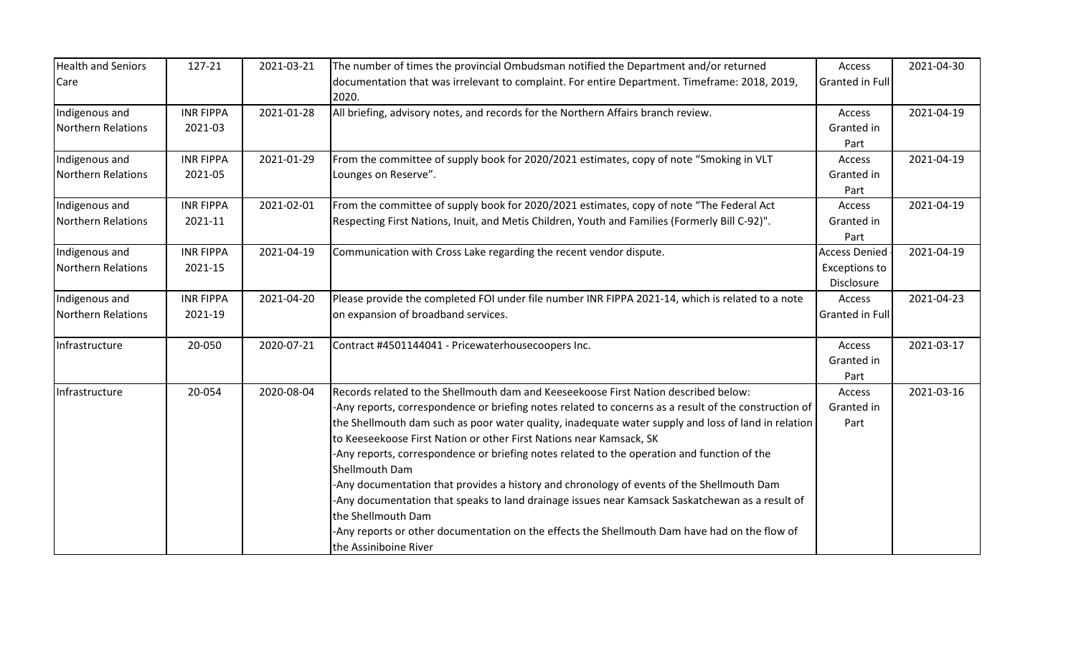| <b>Health and Seniors</b> | 127-21           | 2021-03-21 | The number of times the provincial Ombudsman notified the Department and/or returned                   | Access                 | 2021-04-30 |
|---------------------------|------------------|------------|--------------------------------------------------------------------------------------------------------|------------------------|------------|
| Care                      |                  |            | documentation that was irrelevant to complaint. For entire Department. Timeframe: 2018, 2019,<br>2020. | <b>Granted in Full</b> |            |
| Indigenous and            | <b>INR FIPPA</b> | 2021-01-28 | All briefing, advisory notes, and records for the Northern Affairs branch review.                      | Access                 | 2021-04-19 |
| Northern Relations        | 2021-03          |            |                                                                                                        | Granted in             |            |
|                           |                  |            |                                                                                                        | Part                   |            |
| Indigenous and            | <b>INR FIPPA</b> | 2021-01-29 | From the committee of supply book for 2020/2021 estimates, copy of note "Smoking in VLT                | Access                 | 2021-04-19 |
| Northern Relations        | 2021-05          |            | Lounges on Reserve".                                                                                   | Granted in             |            |
|                           |                  |            |                                                                                                        | Part                   |            |
| Indigenous and            | <b>INR FIPPA</b> | 2021-02-01 | From the committee of supply book for 2020/2021 estimates, copy of note "The Federal Act               | Access                 | 2021-04-19 |
| Northern Relations        | 2021-11          |            | Respecting First Nations, Inuit, and Metis Children, Youth and Families (Formerly Bill C-92)".         | Granted in             |            |
|                           |                  |            |                                                                                                        | Part                   |            |
| Indigenous and            | <b>INR FIPPA</b> | 2021-04-19 | Communication with Cross Lake regarding the recent vendor dispute.                                     | <b>Access Denied</b>   | 2021-04-19 |
| Northern Relations        | 2021-15          |            |                                                                                                        | <b>Exceptions to</b>   |            |
|                           |                  |            |                                                                                                        | Disclosure             |            |
| Indigenous and            | <b>INR FIPPA</b> | 2021-04-20 | Please provide the completed FOI under file number INR FIPPA 2021-14, which is related to a note       | Access                 | 2021-04-23 |
| Northern Relations        | 2021-19          |            | on expansion of broadband services.                                                                    | <b>Granted in Full</b> |            |
| Infrastructure            | 20-050           | 2020-07-21 | Contract #4501144041 - Pricewaterhousecoopers Inc.                                                     | Access                 | 2021-03-17 |
|                           |                  |            |                                                                                                        | Granted in             |            |
|                           |                  |            |                                                                                                        | Part                   |            |
| Infrastructure            | 20-054           | 2020-08-04 | Records related to the Shellmouth dam and Keeseekoose First Nation described below:                    | Access                 | 2021-03-16 |
|                           |                  |            | -Any reports, correspondence or briefing notes related to concerns as a result of the construction of  | Granted in             |            |
|                           |                  |            | the Shellmouth dam such as poor water quality, inadequate water supply and loss of land in relation    | Part                   |            |
|                           |                  |            | to Keeseekoose First Nation or other First Nations near Kamsack, SK                                    |                        |            |
|                           |                  |            | -Any reports, correspondence or briefing notes related to the operation and function of the            |                        |            |
|                           |                  |            | Shellmouth Dam                                                                                         |                        |            |
|                           |                  |            | -Any documentation that provides a history and chronology of events of the Shellmouth Dam              |                        |            |
|                           |                  |            | -Any documentation that speaks to land drainage issues near Kamsack Saskatchewan as a result of        |                        |            |
|                           |                  |            | the Shellmouth Dam                                                                                     |                        |            |
|                           |                  |            | -Any reports or other documentation on the effects the Shellmouth Dam have had on the flow of          |                        |            |
|                           |                  |            | the Assiniboine River                                                                                  |                        |            |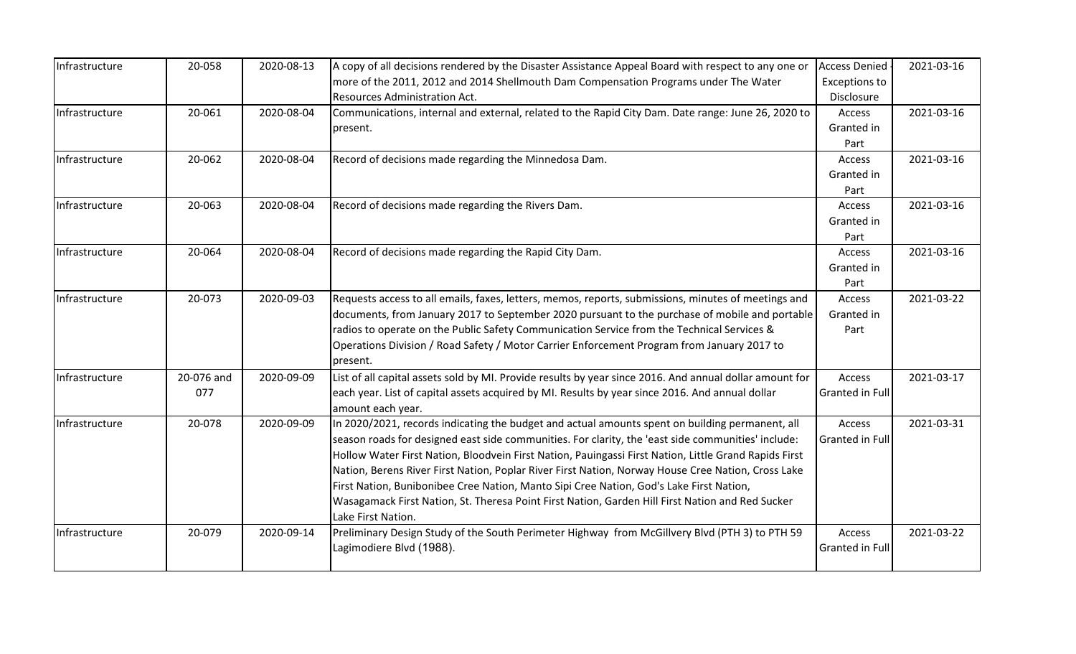| Infrastructure | 20-058     | 2020-08-13 | A copy of all decisions rendered by the Disaster Assistance Appeal Board with respect to any one or     | <b>Access Denied</b> | 2021-03-16 |
|----------------|------------|------------|---------------------------------------------------------------------------------------------------------|----------------------|------------|
|                |            |            | more of the 2011, 2012 and 2014 Shellmouth Dam Compensation Programs under The Water                    | <b>Exceptions to</b> |            |
|                |            |            | <b>Resources Administration Act.</b>                                                                    | Disclosure           |            |
| Infrastructure | 20-061     | 2020-08-04 | Communications, internal and external, related to the Rapid City Dam. Date range: June 26, 2020 to      | Access               | 2021-03-16 |
|                |            |            | present.                                                                                                | Granted in           |            |
|                |            |            |                                                                                                         | Part                 |            |
| Infrastructure | 20-062     | 2020-08-04 | Record of decisions made regarding the Minnedosa Dam.                                                   | Access               | 2021-03-16 |
|                |            |            |                                                                                                         | Granted in           |            |
|                |            |            |                                                                                                         | Part                 |            |
| Infrastructure | 20-063     | 2020-08-04 | Record of decisions made regarding the Rivers Dam.                                                      | Access               | 2021-03-16 |
|                |            |            |                                                                                                         | Granted in           |            |
|                |            |            |                                                                                                         | Part                 |            |
| Infrastructure | 20-064     | 2020-08-04 | Record of decisions made regarding the Rapid City Dam.                                                  | Access               | 2021-03-16 |
|                |            |            |                                                                                                         | Granted in           |            |
|                |            |            |                                                                                                         | Part                 |            |
| Infrastructure | 20-073     | 2020-09-03 | Requests access to all emails, faxes, letters, memos, reports, submissions, minutes of meetings and     | Access               | 2021-03-22 |
|                |            |            | documents, from January 2017 to September 2020 pursuant to the purchase of mobile and portable          | Granted in           |            |
|                |            |            | radios to operate on the Public Safety Communication Service from the Technical Services &              | Part                 |            |
|                |            |            | Operations Division / Road Safety / Motor Carrier Enforcement Program from January 2017 to              |                      |            |
|                |            |            | present.                                                                                                |                      |            |
| Infrastructure | 20-076 and | 2020-09-09 | List of all capital assets sold by MI. Provide results by year since 2016. And annual dollar amount for | Access               | 2021-03-17 |
|                | 077        |            | each year. List of capital assets acquired by MI. Results by year since 2016. And annual dollar         | Granted in Full      |            |
|                |            |            | amount each year.                                                                                       |                      |            |
| Infrastructure | 20-078     | 2020-09-09 | In 2020/2021, records indicating the budget and actual amounts spent on building permanent, all         | Access               | 2021-03-31 |
|                |            |            | season roads for designed east side communities. For clarity, the 'east side communities' include:      | Granted in Full      |            |
|                |            |            | Hollow Water First Nation, Bloodvein First Nation, Pauingassi First Nation, Little Grand Rapids First   |                      |            |
|                |            |            | Nation, Berens River First Nation, Poplar River First Nation, Norway House Cree Nation, Cross Lake      |                      |            |
|                |            |            | First Nation, Bunibonibee Cree Nation, Manto Sipi Cree Nation, God's Lake First Nation,                 |                      |            |
|                |            |            | Wasagamack First Nation, St. Theresa Point First Nation, Garden Hill First Nation and Red Sucker        |                      |            |
|                |            |            | Lake First Nation.                                                                                      |                      |            |
| Infrastructure | 20-079     | 2020-09-14 | Preliminary Design Study of the South Perimeter Highway from McGillvery Blvd (PTH 3) to PTH 59          | Access               | 2021-03-22 |
|                |            |            | Lagimodiere Blvd (1988).                                                                                | Granted in Full      |            |
|                |            |            |                                                                                                         |                      |            |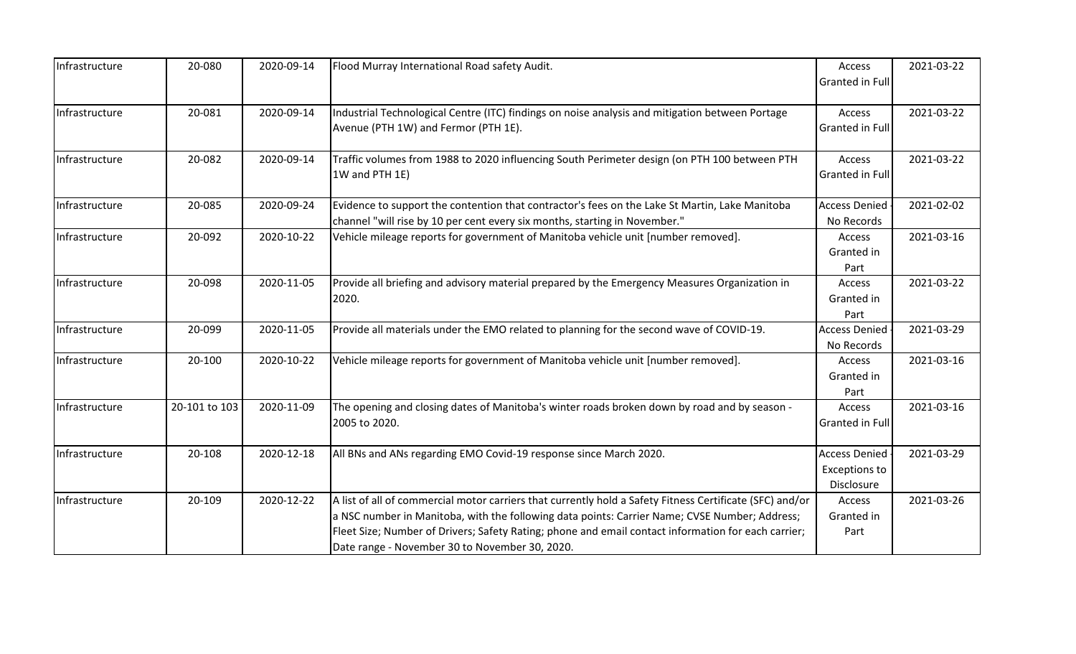| Infrastructure | 20-080        | 2020-09-14 | Flood Murray International Road safety Audit.                                                            | Access                 | 2021-03-22 |
|----------------|---------------|------------|----------------------------------------------------------------------------------------------------------|------------------------|------------|
|                |               |            |                                                                                                          | <b>Granted in Full</b> |            |
| Infrastructure | 20-081        | 2020-09-14 | Industrial Technological Centre (ITC) findings on noise analysis and mitigation between Portage          | Access                 | 2021-03-22 |
|                |               |            | Avenue (PTH 1W) and Fermor (PTH 1E).                                                                     | <b>Granted in Full</b> |            |
| Infrastructure | 20-082        | 2020-09-14 | Traffic volumes from 1988 to 2020 influencing South Perimeter design (on PTH 100 between PTH             | Access                 | 2021-03-22 |
|                |               |            | 1W and PTH 1E)                                                                                           | Granted in Full        |            |
| Infrastructure | 20-085        | 2020-09-24 | Evidence to support the contention that contractor's fees on the Lake St Martin, Lake Manitoba           | <b>Access Denied</b>   | 2021-02-02 |
|                |               |            | channel "will rise by 10 per cent every six months, starting in November."                               | No Records             |            |
| Infrastructure | 20-092        | 2020-10-22 | Vehicle mileage reports for government of Manitoba vehicle unit [number removed].                        | Access                 | 2021-03-16 |
|                |               |            |                                                                                                          | Granted in             |            |
|                |               |            |                                                                                                          | Part                   |            |
| Infrastructure | 20-098        | 2020-11-05 | Provide all briefing and advisory material prepared by the Emergency Measures Organization in            | Access                 | 2021-03-22 |
|                |               |            | 2020.                                                                                                    | Granted in             |            |
|                |               |            |                                                                                                          | Part                   |            |
| Infrastructure | 20-099        | 2020-11-05 | Provide all materials under the EMO related to planning for the second wave of COVID-19.                 | <b>Access Denied</b>   | 2021-03-29 |
|                |               |            |                                                                                                          | No Records             |            |
| Infrastructure | 20-100        | 2020-10-22 | Vehicle mileage reports for government of Manitoba vehicle unit [number removed].                        | Access                 | 2021-03-16 |
|                |               |            |                                                                                                          | Granted in             |            |
|                |               |            |                                                                                                          | Part                   |            |
| Infrastructure | 20-101 to 103 | 2020-11-09 | The opening and closing dates of Manitoba's winter roads broken down by road and by season -             | Access                 | 2021-03-16 |
|                |               |            | 2005 to 2020.                                                                                            | Granted in Full        |            |
| Infrastructure | 20-108        | 2020-12-18 | All BNs and ANs regarding EMO Covid-19 response since March 2020.                                        | <b>Access Denied</b>   | 2021-03-29 |
|                |               |            |                                                                                                          | <b>Exceptions to</b>   |            |
|                |               |            |                                                                                                          | Disclosure             |            |
| Infrastructure | 20-109        | 2020-12-22 | A list of all of commercial motor carriers that currently hold a Safety Fitness Certificate (SFC) and/or | Access                 | 2021-03-26 |
|                |               |            | a NSC number in Manitoba, with the following data points: Carrier Name; CVSE Number; Address;            | Granted in             |            |
|                |               |            | Fleet Size; Number of Drivers; Safety Rating; phone and email contact information for each carrier;      | Part                   |            |
|                |               |            | Date range - November 30 to November 30, 2020.                                                           |                        |            |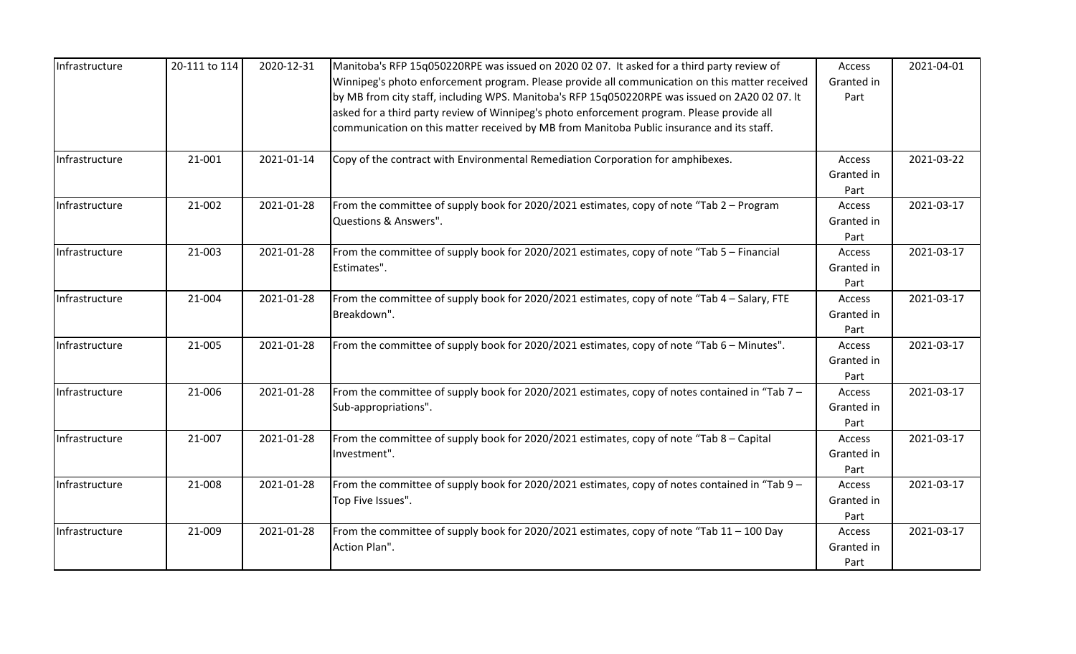| Infrastructure | 20-111 to 114 | 2020-12-31 | Manitoba's RFP 15q050220RPE was issued on 2020 02 07. It asked for a third party review of<br>Winnipeg's photo enforcement program. Please provide all communication on this matter received<br>by MB from city staff, including WPS. Manitoba's RFP 15q050220RPE was issued on 2A20 02 07. It<br>asked for a third party review of Winnipeg's photo enforcement program. Please provide all<br>communication on this matter received by MB from Manitoba Public insurance and its staff. | Access<br>Granted in<br>Part | 2021-04-01 |
|----------------|---------------|------------|-------------------------------------------------------------------------------------------------------------------------------------------------------------------------------------------------------------------------------------------------------------------------------------------------------------------------------------------------------------------------------------------------------------------------------------------------------------------------------------------|------------------------------|------------|
| Infrastructure | 21-001        | 2021-01-14 | Copy of the contract with Environmental Remediation Corporation for amphibexes.                                                                                                                                                                                                                                                                                                                                                                                                           | Access<br>Granted in<br>Part | 2021-03-22 |
| Infrastructure | 21-002        | 2021-01-28 | From the committee of supply book for 2020/2021 estimates, copy of note "Tab 2 - Program<br>Questions & Answers".                                                                                                                                                                                                                                                                                                                                                                         | Access<br>Granted in<br>Part | 2021-03-17 |
| Infrastructure | 21-003        | 2021-01-28 | From the committee of supply book for 2020/2021 estimates, copy of note "Tab 5 - Financial<br>Estimates".                                                                                                                                                                                                                                                                                                                                                                                 | Access<br>Granted in<br>Part | 2021-03-17 |
| Infrastructure | 21-004        | 2021-01-28 | From the committee of supply book for 2020/2021 estimates, copy of note "Tab 4 - Salary, FTE<br>Breakdown".                                                                                                                                                                                                                                                                                                                                                                               | Access<br>Granted in<br>Part | 2021-03-17 |
| Infrastructure | 21-005        | 2021-01-28 | From the committee of supply book for 2020/2021 estimates, copy of note "Tab 6 - Minutes".                                                                                                                                                                                                                                                                                                                                                                                                | Access<br>Granted in<br>Part | 2021-03-17 |
| Infrastructure | 21-006        | 2021-01-28 | From the committee of supply book for 2020/2021 estimates, copy of notes contained in "Tab 7 –<br>Sub-appropriations".                                                                                                                                                                                                                                                                                                                                                                    | Access<br>Granted in<br>Part | 2021-03-17 |
| Infrastructure | 21-007        | 2021-01-28 | From the committee of supply book for 2020/2021 estimates, copy of note "Tab 8 - Capital<br>Investment".                                                                                                                                                                                                                                                                                                                                                                                  | Access<br>Granted in<br>Part | 2021-03-17 |
| Infrastructure | 21-008        | 2021-01-28 | From the committee of supply book for 2020/2021 estimates, copy of notes contained in "Tab 9 -<br>Top Five Issues".                                                                                                                                                                                                                                                                                                                                                                       | Access<br>Granted in<br>Part | 2021-03-17 |
| Infrastructure | 21-009        | 2021-01-28 | From the committee of supply book for 2020/2021 estimates, copy of note "Tab 11 - 100 Day<br>Action Plan".                                                                                                                                                                                                                                                                                                                                                                                | Access<br>Granted in<br>Part | 2021-03-17 |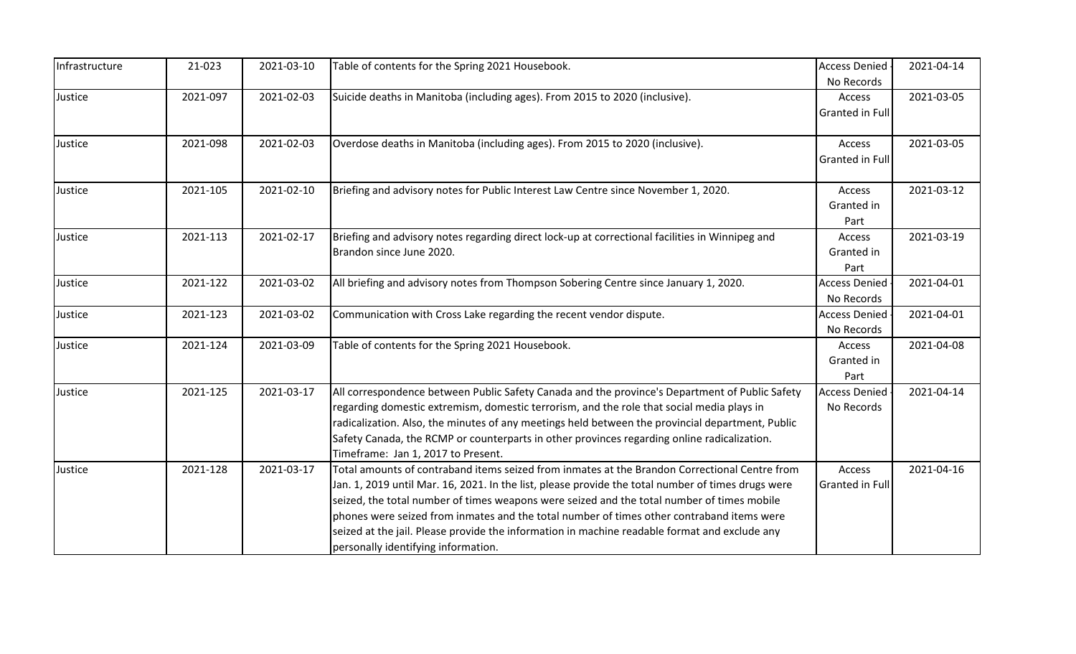| Infrastructure | 21-023   | 2021-03-10 | Table of contents for the Spring 2021 Housebook.                                                                                    | <b>Access Denied</b>   | 2021-04-14 |
|----------------|----------|------------|-------------------------------------------------------------------------------------------------------------------------------------|------------------------|------------|
|                |          |            |                                                                                                                                     | No Records             |            |
| Justice        | 2021-097 | 2021-02-03 | Suicide deaths in Manitoba (including ages). From 2015 to 2020 (inclusive).                                                         | Access                 | 2021-03-05 |
|                |          |            |                                                                                                                                     | <b>Granted in Full</b> |            |
| Justice        | 2021-098 | 2021-02-03 | Overdose deaths in Manitoba (including ages). From 2015 to 2020 (inclusive).                                                        | Access                 | 2021-03-05 |
|                |          |            |                                                                                                                                     | Granted in Full        |            |
|                |          |            |                                                                                                                                     |                        |            |
| Justice        | 2021-105 | 2021-02-10 | Briefing and advisory notes for Public Interest Law Centre since November 1, 2020.                                                  | Access                 | 2021-03-12 |
|                |          |            |                                                                                                                                     | Granted in             |            |
|                |          |            |                                                                                                                                     | Part                   |            |
| Justice        | 2021-113 | 2021-02-17 | Briefing and advisory notes regarding direct lock-up at correctional facilities in Winnipeg and                                     | Access                 | 2021-03-19 |
|                |          |            | Brandon since June 2020.                                                                                                            | Granted in             |            |
|                |          |            |                                                                                                                                     | Part                   |            |
| Justice        | 2021-122 | 2021-03-02 | All briefing and advisory notes from Thompson Sobering Centre since January 1, 2020.                                                | <b>Access Denied</b>   | 2021-04-01 |
|                |          |            |                                                                                                                                     | No Records             |            |
| Justice        | 2021-123 | 2021-03-02 | Communication with Cross Lake regarding the recent vendor dispute.                                                                  | <b>Access Denied</b>   | 2021-04-01 |
|                |          |            |                                                                                                                                     | No Records             |            |
| Justice        | 2021-124 | 2021-03-09 | Table of contents for the Spring 2021 Housebook.                                                                                    | Access                 | 2021-04-08 |
|                |          |            |                                                                                                                                     | Granted in             |            |
|                |          |            |                                                                                                                                     | Part                   |            |
| Justice        | 2021-125 | 2021-03-17 | All correspondence between Public Safety Canada and the province's Department of Public Safety                                      | <b>Access Denied</b>   | 2021-04-14 |
|                |          |            | regarding domestic extremism, domestic terrorism, and the role that social media plays in                                           | No Records             |            |
|                |          |            | radicalization. Also, the minutes of any meetings held between the provincial department, Public                                    |                        |            |
|                |          |            | Safety Canada, the RCMP or counterparts in other provinces regarding online radicalization.                                         |                        |            |
| Justice        | 2021-128 | 2021-03-17 | Timeframe: Jan 1, 2017 to Present.<br>Total amounts of contraband items seized from inmates at the Brandon Correctional Centre from | Access                 | 2021-04-16 |
|                |          |            | Jan. 1, 2019 until Mar. 16, 2021. In the list, please provide the total number of times drugs were                                  | <b>Granted in Full</b> |            |
|                |          |            | seized, the total number of times weapons were seized and the total number of times mobile                                          |                        |            |
|                |          |            | phones were seized from inmates and the total number of times other contraband items were                                           |                        |            |
|                |          |            | seized at the jail. Please provide the information in machine readable format and exclude any                                       |                        |            |
|                |          |            | personally identifying information.                                                                                                 |                        |            |
|                |          |            |                                                                                                                                     |                        |            |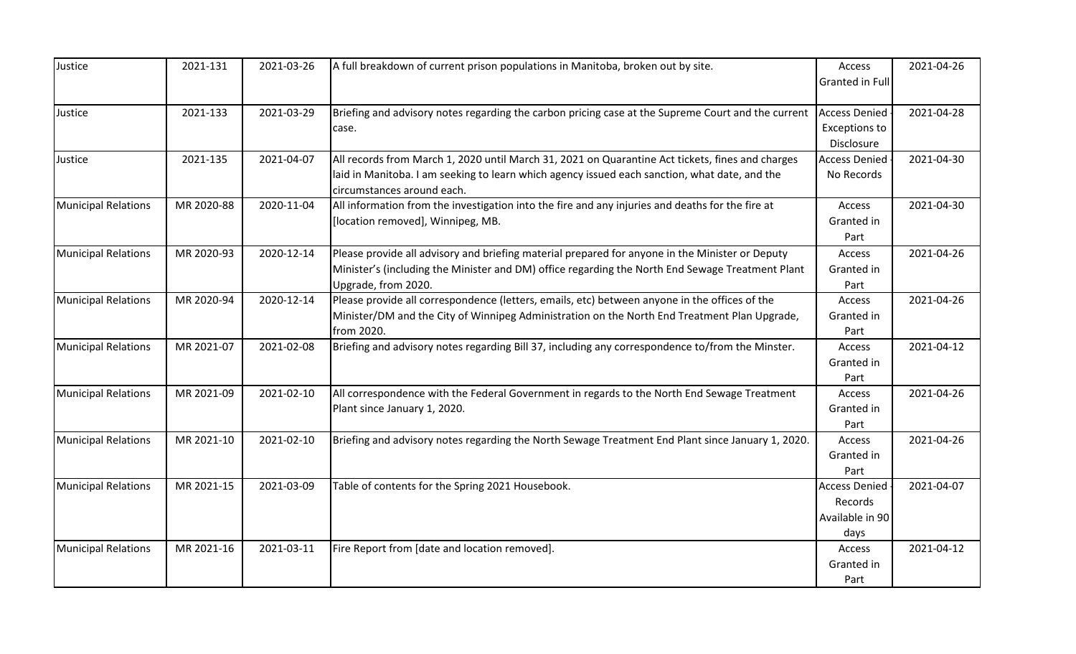| Justice                    | 2021-131   | 2021-03-26 | A full breakdown of current prison populations in Manitoba, broken out by site.                    | Access                 | 2021-04-26 |
|----------------------------|------------|------------|----------------------------------------------------------------------------------------------------|------------------------|------------|
|                            |            |            |                                                                                                    | <b>Granted in Full</b> |            |
|                            |            |            |                                                                                                    |                        |            |
| Justice                    | 2021-133   | 2021-03-29 | Briefing and advisory notes regarding the carbon pricing case at the Supreme Court and the current | <b>Access Denied</b>   | 2021-04-28 |
|                            |            |            | case.                                                                                              | <b>Exceptions to</b>   |            |
|                            |            |            |                                                                                                    | Disclosure             |            |
| Justice                    | 2021-135   | 2021-04-07 | All records from March 1, 2020 until March 31, 2021 on Quarantine Act tickets, fines and charges   | <b>Access Denied</b>   | 2021-04-30 |
|                            |            |            | laid in Manitoba. I am seeking to learn which agency issued each sanction, what date, and the      | No Records             |            |
|                            |            |            | circumstances around each.                                                                         |                        |            |
| <b>Municipal Relations</b> | MR 2020-88 | 2020-11-04 | All information from the investigation into the fire and any injuries and deaths for the fire at   | Access                 | 2021-04-30 |
|                            |            |            | [location removed], Winnipeg, MB.                                                                  | Granted in             |            |
|                            |            |            |                                                                                                    | Part                   |            |
| <b>Municipal Relations</b> | MR 2020-93 | 2020-12-14 | Please provide all advisory and briefing material prepared for anyone in the Minister or Deputy    | Access                 | 2021-04-26 |
|                            |            |            | Minister's (including the Minister and DM) office regarding the North End Sewage Treatment Plant   | Granted in             |            |
|                            |            |            | Upgrade, from 2020.                                                                                | Part                   |            |
| <b>Municipal Relations</b> | MR 2020-94 | 2020-12-14 | Please provide all correspondence (letters, emails, etc) between anyone in the offices of the      | Access                 | 2021-04-26 |
|                            |            |            | Minister/DM and the City of Winnipeg Administration on the North End Treatment Plan Upgrade,       | Granted in             |            |
|                            |            |            | from 2020.                                                                                         | Part                   |            |
| <b>Municipal Relations</b> | MR 2021-07 | 2021-02-08 | Briefing and advisory notes regarding Bill 37, including any correspondence to/from the Minster.   | Access                 | 2021-04-12 |
|                            |            |            |                                                                                                    | Granted in             |            |
|                            |            |            |                                                                                                    | Part                   |            |
| <b>Municipal Relations</b> | MR 2021-09 | 2021-02-10 | All correspondence with the Federal Government in regards to the North End Sewage Treatment        | Access                 | 2021-04-26 |
|                            |            |            | Plant since January 1, 2020.                                                                       | Granted in             |            |
|                            |            |            |                                                                                                    | Part                   |            |
| <b>Municipal Relations</b> | MR 2021-10 | 2021-02-10 | Briefing and advisory notes regarding the North Sewage Treatment End Plant since January 1, 2020.  | Access                 | 2021-04-26 |
|                            |            |            |                                                                                                    | Granted in             |            |
|                            |            |            |                                                                                                    | Part                   |            |
| <b>Municipal Relations</b> | MR 2021-15 | 2021-03-09 | Table of contents for the Spring 2021 Housebook.                                                   | <b>Access Denied</b>   | 2021-04-07 |
|                            |            |            |                                                                                                    | Records                |            |
|                            |            |            |                                                                                                    | Available in 90        |            |
|                            |            |            |                                                                                                    | days                   |            |
| <b>Municipal Relations</b> | MR 2021-16 | 2021-03-11 | Fire Report from [date and location removed].                                                      | Access                 | 2021-04-12 |
|                            |            |            |                                                                                                    | Granted in             |            |
|                            |            |            |                                                                                                    | Part                   |            |